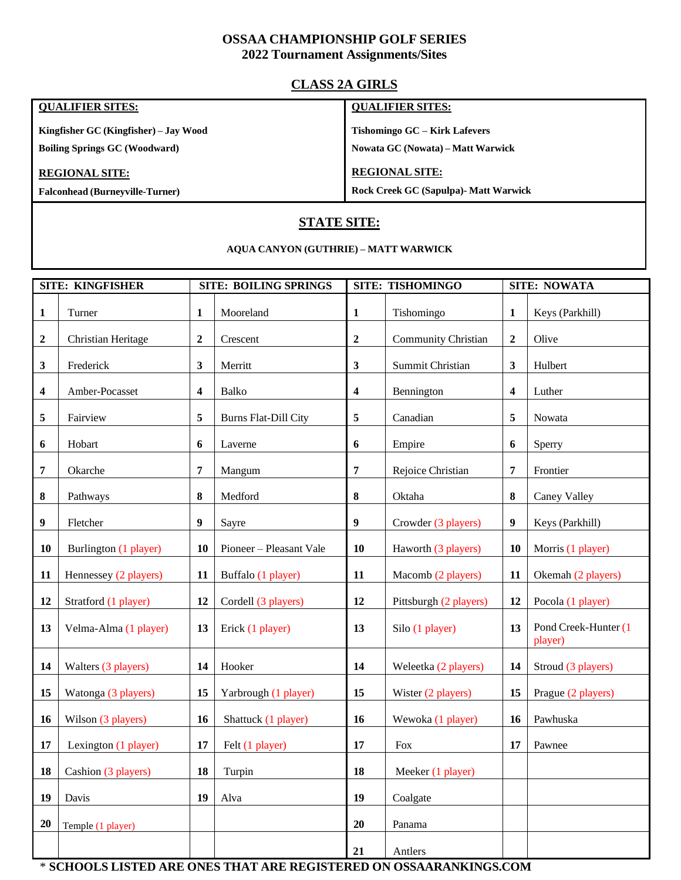## **OSSAA CHAMPIONSHIP GOLF SERIES**

#### **2022 Tournament Assignments/Sites**

## **CLASS 2A GIRLS**

#### **QUALIFIER SITES:**

**Kingfisher GC (Kingfisher) – Jay Wood Boiling Springs GC (Woodward)**

#### **REGIONAL SITE:**

**Falconhead (Burneyville-Turner)**

#### **QUALIFIER SITES:**

**Tishomingo GC – Kirk Lafevers** 

**Nowata GC (Nowata) – Matt Warwick**

#### **REGIONAL SITE:**

**Rock Creek GC (Sapulpa)- Matt Warwick**

# **STATE SITE:**

#### **AQUA CANYON (GUTHRIE) – MATT WARWICK**

| <b>SITE: KINGFISHER</b> |                       |                         | <b>SITE: BOILING SPRINGS</b> |                  | <b>SITE: TISHOMINGO</b> |              | <b>SITE: NOWATA</b>             |  |
|-------------------------|-----------------------|-------------------------|------------------------------|------------------|-------------------------|--------------|---------------------------------|--|
| $\mathbf{1}$            | Turner                | 1                       | Mooreland                    | 1                | Tishomingo              | 1            | Keys (Parkhill)                 |  |
| $\boldsymbol{2}$        | Christian Heritage    | $\boldsymbol{2}$        | Crescent                     | $\boldsymbol{2}$ | Community Christian     | $\mathbf{2}$ | Olive                           |  |
| $\mathbf{3}$            | Frederick             | 3                       | Merritt                      | $\mathbf{3}$     | Summit Christian        | 3            | Hulbert                         |  |
| $\overline{\mathbf{4}}$ | Amber-Pocasset        | $\overline{\mathbf{4}}$ | <b>Balko</b>                 | 4                | Bennington              | 4            | Luther                          |  |
| 5                       | Fairview              | 5                       | <b>Burns Flat-Dill City</b>  | 5                | Canadian                | 5            | Nowata                          |  |
| 6                       | Hobart                | 6                       | Laverne                      | 6                | Empire                  | 6            | Sperry                          |  |
| 7                       | Okarche               | 7                       | Mangum                       | 7                | Rejoice Christian       | 7            | Frontier                        |  |
| 8                       | Pathways              | $\bf{8}$                | Medford                      | 8                | Oktaha                  | 8            | Caney Valley                    |  |
| $\boldsymbol{9}$        | Fletcher              | 9                       | Sayre                        | 9                | Crowder (3 players)     | 9            | Keys (Parkhill)                 |  |
| 10                      | Burlington (1 player) | 10                      | Pioneer - Pleasant Vale      | 10               | Haworth (3 players)     | 10           | Morris (1 player)               |  |
| 11                      | Hennessey (2 players) | 11                      | Buffalo (1 player)           | 11               | Macomb (2 players)      | 11           | Okemah (2 players)              |  |
| 12                      | Stratford (1 player)  | 12                      | Cordell (3 players)          | 12               | Pittsburgh (2 players)  | 12           | Pocola (1 player)               |  |
| 13                      | Velma-Alma (1 player) | 13                      | Erick (1 player)             | 13               | Silo (1 player)         | 13           | Pond Creek-Hunter (1<br>player) |  |
| 14                      | Walters (3 players)   | 14                      | Hooker                       | 14               | Weleetka (2 players)    | 14           | Stroud (3 players)              |  |
| 15                      | Watonga (3 players)   | 15                      | Yarbrough (1 player)         | 15               | Wister (2 players)      | 15           | Prague (2 players)              |  |
| 16                      | Wilson (3 players)    | 16                      | Shattuck (1 player)          | 16               | Wewoka (1 player)       | 16           | Pawhuska                        |  |
| 17                      | Lexington (1 player)  | 17                      | Felt (1 player)              | 17               | <b>Fox</b>              | 17           | Pawnee                          |  |
| 18                      | Cashion (3 players)   | 18                      | Turpin                       | 18               | Meeker (1 player)       |              |                                 |  |
| 19                      | Davis                 | 19                      | Alva                         | 19               | Coalgate                |              |                                 |  |
| 20                      | Temple (1 player)     |                         |                              | 20               | Panama                  |              |                                 |  |
|                         |                       |                         |                              | 21               | Antlers                 |              |                                 |  |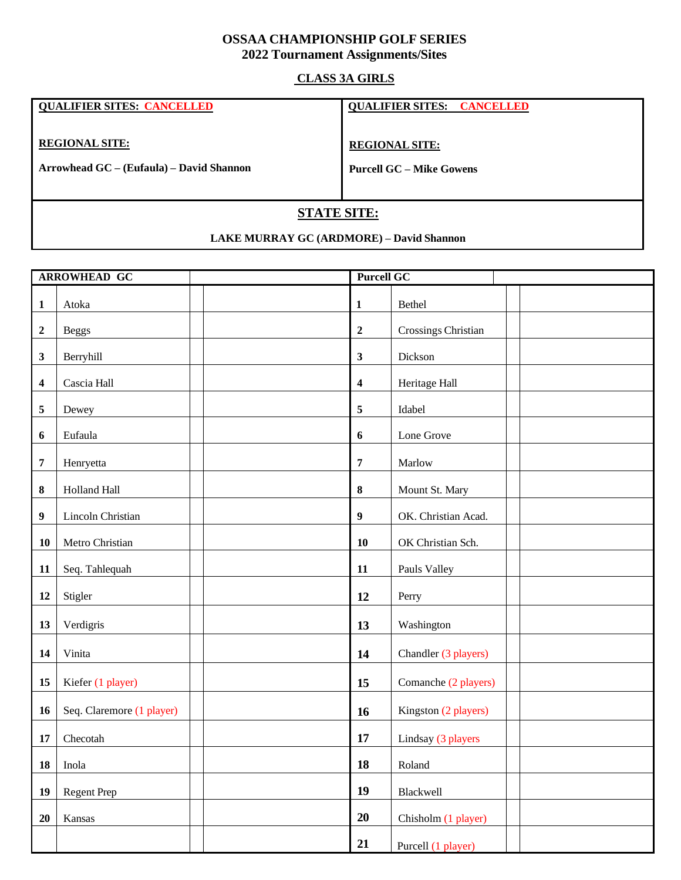## **OSSAA CHAMPIONSHIP GOLF SERIES Tournament Assignments/Sites**

### **CLASS 3A GIRLS**

| <b>QUALIFIER SITES: CANCELLED</b>        | <b>QUALIFIER SITES: CANCELLED</b> |  |  |  |
|------------------------------------------|-----------------------------------|--|--|--|
| <b>REGIONAL SITE:</b>                    | <b>REGIONAL SITE:</b>             |  |  |  |
| Arrowhead GC – (Eufaula) – David Shannon | <b>Purcell GC – Mike Gowens</b>   |  |  |  |
|                                          |                                   |  |  |  |
| <b>STATE SITE:</b>                       |                                   |  |  |  |

### **LAKE MURRAY GC (ARDMORE) – David Shannon**

| <b>ARROWHEAD GC</b>     |                           |                         | <b>Purcell GC</b>    |  |  |
|-------------------------|---------------------------|-------------------------|----------------------|--|--|
| $\mathbf{1}$            | Atoka                     | $\mathbf{1}$            | Bethel               |  |  |
| $\boldsymbol{2}$        | <b>Beggs</b>              | $\boldsymbol{2}$        | Crossings Christian  |  |  |
| 3                       | Berryhill                 | $\mathbf{3}$            | Dickson              |  |  |
| $\overline{\mathbf{4}}$ | Cascia Hall               | $\overline{\mathbf{4}}$ | Heritage Hall        |  |  |
| 5                       | Dewey                     | 5                       | Idabel               |  |  |
| 6                       | Eufaula                   | 6                       | Lone Grove           |  |  |
| $\overline{7}$          | Henryetta                 | $\overline{7}$          | Marlow               |  |  |
| 8                       | Holland Hall              | 8                       | Mount St. Mary       |  |  |
| $\boldsymbol{9}$        | Lincoln Christian         | $\boldsymbol{9}$        | OK. Christian Acad.  |  |  |
| 10                      | Metro Christian           | 10                      | OK Christian Sch.    |  |  |
| 11                      | Seq. Tahlequah            | 11                      | Pauls Valley         |  |  |
| 12                      | Stigler                   | 12                      | Perry                |  |  |
| 13                      | Verdigris                 | 13                      | Washington           |  |  |
| 14                      | Vinita                    | 14                      | Chandler (3 players) |  |  |
| 15                      | Kiefer (1 player)         | 15                      | Comanche (2 players) |  |  |
| 16                      | Seq. Claremore (1 player) | 16                      | Kingston (2 players) |  |  |
| 17                      | Checotah                  | 17                      | Lindsay (3 players   |  |  |
| 18                      | Inola                     | 18                      | Roland               |  |  |
| 19                      | Regent Prep               | 19                      | Blackwell            |  |  |
| 20                      | Kansas                    | 20                      | Chisholm (1 player)  |  |  |
|                         |                           | 21                      | Purcell (1 player)   |  |  |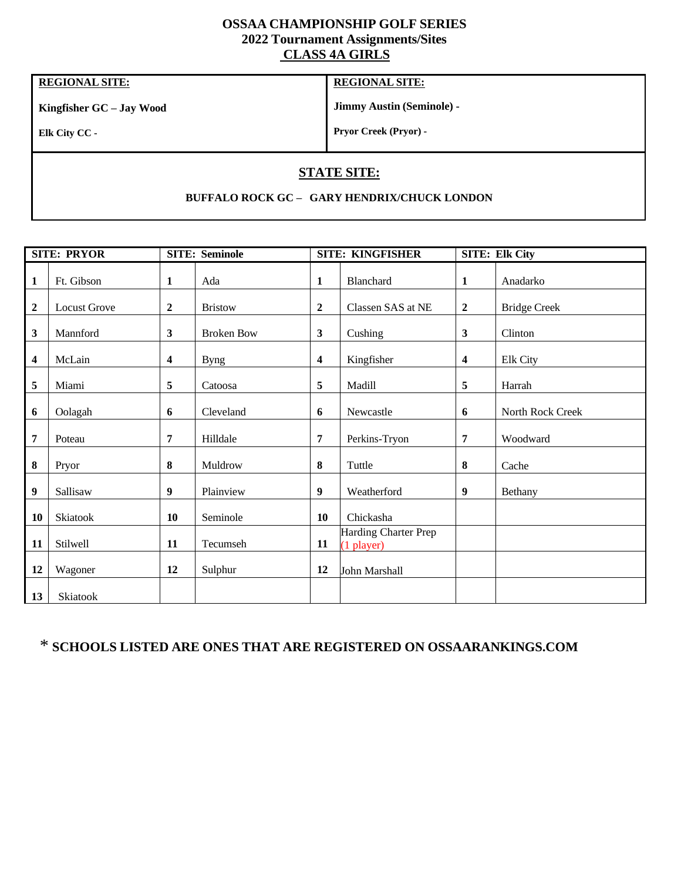## **OSSAA CHAMPIONSHIP GOLF SERIES 2022 Tournament Assignments/Sites CLASS 4A GIRLS**

# **REGIONAL SITE:**

**Kingfisher GC – Jay Wood**

### **REGIONAL SITE:**

**Jimmy Austin (Seminole) -**

**Elk City CC -**

**Pryor Creek (Pryor) -**

# **STATE SITE:**

#### **BUFFALO ROCK GC – GARY HENDRIX/CHUCK LONDON**

| <b>SITE: PRYOR</b> |                     | <b>SITE: Seminole</b> |                   |                         | <b>SITE: KINGFISHER</b>              |                         | <b>SITE: Elk City</b> |  |
|--------------------|---------------------|-----------------------|-------------------|-------------------------|--------------------------------------|-------------------------|-----------------------|--|
| $\mathbf{1}$       | Ft. Gibson          | $\mathbf{1}$          | Ada               | $\mathbf{1}$            | Blanchard                            | $\mathbf{1}$            | Anadarko              |  |
| $\boldsymbol{2}$   | <b>Locust Grove</b> | $\boldsymbol{2}$      | <b>Bristow</b>    | $\boldsymbol{2}$        | Classen SAS at NE                    | $\boldsymbol{2}$        | <b>Bridge Creek</b>   |  |
| $\mathbf{3}$       | Mannford            | 3                     | <b>Broken Bow</b> | 3                       | Cushing                              | 3                       | Clinton               |  |
| 4                  | McLain              | 4                     | <b>Byng</b>       | $\overline{\mathbf{4}}$ | Kingfisher                           | $\overline{\mathbf{4}}$ | Elk City              |  |
| 5                  | Miami               | 5                     | Catoosa           | 5                       | Madill                               | 5                       | Harrah                |  |
| 6                  | Oolagah             | 6                     | Cleveland         | 6                       | Newcastle                            | 6                       | North Rock Creek      |  |
| 7                  | Poteau              | 7                     | Hilldale          | 7                       | Perkins-Tryon                        | 7                       | Woodward              |  |
| $\bf 8$            | Pryor               | 8                     | Muldrow           | 8                       | Tuttle                               | 8                       | Cache                 |  |
| 9                  | Sallisaw            | 9                     | Plainview         | 9                       | Weatherford                          | 9                       | Bethany               |  |
| 10                 | Skiatook            | 10                    | Seminole          | 10                      | Chickasha                            |                         |                       |  |
| 11                 | Stilwell            | 11                    | Tecumseh          | 11                      | Harding Charter Prep<br>$(1$ player) |                         |                       |  |
| 12                 | Wagoner             | 12                    | Sulphur           | 12                      | John Marshall                        |                         |                       |  |
| 13                 | Skiatook            |                       |                   |                         |                                      |                         |                       |  |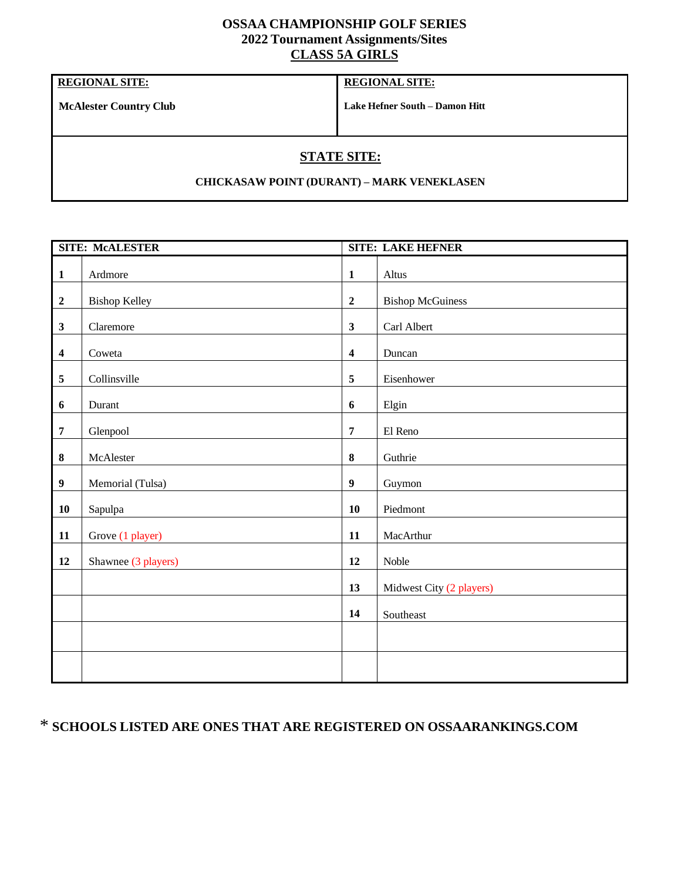## **OSSAA CHAMPIONSHIP GOLF SERIES 2022 Tournament Assignments/Sites CLASS 5A GIRLS**

**REGIONAL SITE:**

### **REGIONAL SITE:**

**McAlester Country Club**

**Lake Hefner South – Damon Hitt**

# **STATE SITE:**

#### **CHICKASAW POINT (DURANT) – MARK VENEKLASEN**

| <b>SITE: McALESTER</b>  |                      |                         | <b>SITE: LAKE HEFNER</b> |  |  |
|-------------------------|----------------------|-------------------------|--------------------------|--|--|
| $\mathbf{1}$            | Ardmore              | $\mathbf{1}$            | Altus                    |  |  |
| $\boldsymbol{2}$        | <b>Bishop Kelley</b> | $\overline{2}$          | <b>Bishop McGuiness</b>  |  |  |
| $\mathbf{3}$            | Claremore            | $\mathbf{3}$            | Carl Albert              |  |  |
| $\overline{\mathbf{4}}$ | Coweta               | $\overline{\mathbf{4}}$ | Duncan                   |  |  |
| $\sqrt{5}$              | Collinsville         | $\overline{5}$          | Eisenhower               |  |  |
| 6                       | Durant               | $6\phantom{1}$          | Elgin                    |  |  |
| $\overline{7}$          | Glenpool             | $\overline{7}$          | El Reno                  |  |  |
| $\pmb{8}$               | McAlester            | $\bf{8}$                | Guthrie                  |  |  |
| $\boldsymbol{9}$        | Memorial (Tulsa)     | $\boldsymbol{9}$        | Guymon                   |  |  |
| 10                      | Sapulpa              | 10                      | Piedmont                 |  |  |
| 11                      | Grove (1 player)     | 11                      | MacArthur                |  |  |
| 12                      | Shawnee (3 players)  | 12                      | Noble                    |  |  |
|                         |                      | 13                      | Midwest City (2 players) |  |  |
|                         |                      | 14                      | Southeast                |  |  |
|                         |                      |                         |                          |  |  |
|                         |                      |                         |                          |  |  |